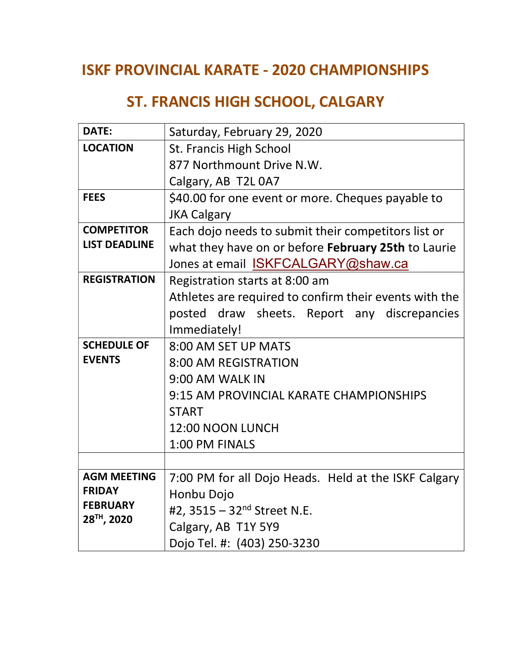## ISKF PROVINCIAL KARATE - 2020 CHAMPIONSHIPS

# ST. FRANCIS HIGH SCHOOL, CALGARY

| DATE:                   | Saturday, February 29, 2020                            |  |  |  |  |
|-------------------------|--------------------------------------------------------|--|--|--|--|
| <b>LOCATION</b>         | St. Francis High School                                |  |  |  |  |
|                         | 877 Northmount Drive N.W.                              |  |  |  |  |
|                         | Calgary, AB T2L 0A7                                    |  |  |  |  |
| <b>FEES</b>             | \$40.00 for one event or more. Cheques payable to      |  |  |  |  |
|                         | <b>JKA Calgary</b>                                     |  |  |  |  |
| <b>COMPETITOR</b>       | Each dojo needs to submit their competitors list or    |  |  |  |  |
| <b>LIST DEADLINE</b>    | what they have on or before February 25th to Laurie    |  |  |  |  |
|                         | Jones at email <b>ISKFCALGARY@shaw.ca</b>              |  |  |  |  |
| <b>REGISTRATION</b>     | Registration starts at 8:00 am                         |  |  |  |  |
|                         | Athletes are required to confirm their events with the |  |  |  |  |
|                         | posted draw sheets. Report any discrepancies           |  |  |  |  |
|                         | Immediately!                                           |  |  |  |  |
| <b>SCHEDULE OF</b>      | 8:00 AM SET UP MATS                                    |  |  |  |  |
| <b>EVENTS</b>           | 8:00 AM REGISTRATION                                   |  |  |  |  |
|                         | 9:00 AM WALK IN                                        |  |  |  |  |
|                         | 9:15 AM PROVINCIAL KARATE CHAMPIONSHIPS                |  |  |  |  |
|                         | <b>START</b>                                           |  |  |  |  |
|                         | 12:00 NOON LUNCH                                       |  |  |  |  |
|                         | 1:00 PM FINALS                                         |  |  |  |  |
|                         |                                                        |  |  |  |  |
| <b>AGM MEETING</b>      | 7:00 PM for all Dojo Heads. Held at the ISKF Calgary   |  |  |  |  |
| <b>FRIDAY</b>           | Honbu Dojo                                             |  |  |  |  |
| <b>FEBRUARY</b>         | #2, 3515 - 32 <sup>nd</sup> Street N.E.                |  |  |  |  |
| 28 <sup>TH</sup> , 2020 | Calgary, AB T1Y 5Y9                                    |  |  |  |  |
|                         | Dojo Tel. #: (403) 250-3230                            |  |  |  |  |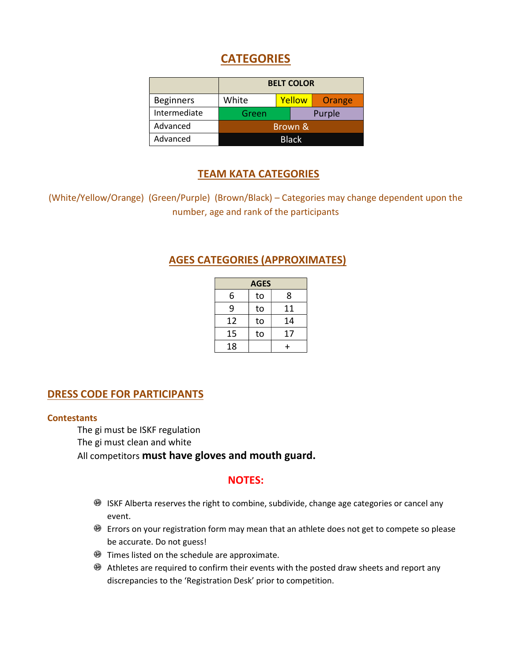### **CATEGORIES**

|                       | <b>BELT COLOR</b> |        |  |        |  |  |
|-----------------------|-------------------|--------|--|--------|--|--|
| <b>Beginners</b>      | White<br>Yellow   |        |  | Orange |  |  |
| Intermediate<br>Green |                   | Purple |  |        |  |  |
| Advanced              | Brown &           |        |  |        |  |  |
| Advanced              | <b>Black</b>      |        |  |        |  |  |

### TEAM KATA CATEGORIES

(White/Yellow/Orange) (Green/Purple) (Brown/Black) – Categories may change dependent upon the number, age and rank of the participants

#### AGES CATEGORIES (APPROXIMATES)

| <b>AGES</b> |    |             |  |  |  |  |  |
|-------------|----|-------------|--|--|--|--|--|
| 6           | to | 8           |  |  |  |  |  |
| 9           | to | 11          |  |  |  |  |  |
| 12          | to | 14          |  |  |  |  |  |
| 15          | to | 17          |  |  |  |  |  |
| 18          |    | $\mathbf +$ |  |  |  |  |  |

#### DRESS CODE FOR PARTICIPANTS

#### **Contestants**

The gi must be ISKF regulation The gi must clean and white All competitors must have gloves and mouth guard.

#### NOTES:

- **<sup>39</sup>** ISKF Alberta reserves the right to combine, subdivide, change age categories or cancel any event.
- Errors on your registration form may mean that an athlete does not get to compete so please be accurate. Do not guess!
- $\bullet$  Times listed on the schedule are approximate.
- Athletes are required to confirm their events with the posted draw sheets and report any discrepancies to the 'Registration Desk' prior to competition.